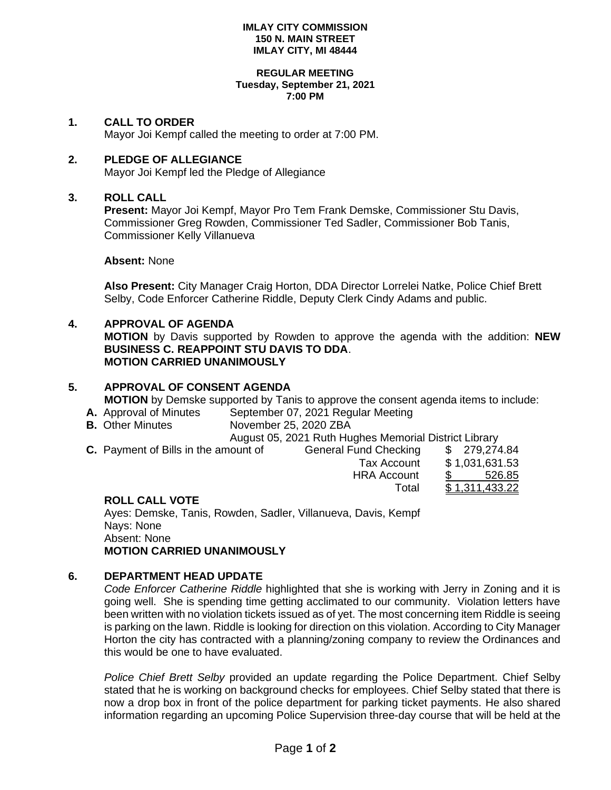#### **IMLAY CITY COMMISSION 150 N. MAIN STREET IMLAY CITY, MI 48444**

#### **REGULAR MEETING Tuesday, September 21, 2021 7:00 PM**

### **1. CALL TO ORDER**

Mayor Joi Kempf called the meeting to order at 7:00 PM.

### **2. PLEDGE OF ALLEGIANCE**

Mayor Joi Kempf led the Pledge of Allegiance

### **3. ROLL CALL**

**Present:** Mayor Joi Kempf, Mayor Pro Tem Frank Demske, Commissioner Stu Davis, Commissioner Greg Rowden, Commissioner Ted Sadler, Commissioner Bob Tanis, Commissioner Kelly Villanueva

**Absent:** None

**Also Present:** City Manager Craig Horton, DDA Director Lorrelei Natke, Police Chief Brett Selby, Code Enforcer Catherine Riddle, Deputy Clerk Cindy Adams and public.

# **4. APPROVAL OF AGENDA**

**MOTION** by Davis supported by Rowden to approve the agenda with the addition: **NEW BUSINESS C. REAPPOINT STU DAVIS TO DDA**. **MOTION CARRIED UNANIMOUSLY**

# **5. APPROVAL OF CONSENT AGENDA MOTION** by Demske supported by Tanis to approve the consent agenda items to include:

- **A.** Approval of Minutes September 07, 2021 Regular Meeting
- **B.** Other Minutes November 25, 2020 ZBA

August 05, 2021 Ruth Hughes Memorial District Library

**C.** Payment of Bills in the amount of General Fund Checking \$ 279,274.84

|   | Tax Account        | \$1,031,631.53 |
|---|--------------------|----------------|
|   | <b>HRA Account</b> | \$526.85       |
|   | Total              | \$1,311,433.22 |
| R |                    |                |

## **ROLL CALL VOTE**

Ayes: Demske, Tanis, Rowden, Sadler, Villanueva, Davis, Kempf Nays: None Absent: None **MOTION CARRIED UNANIMOUSLY**

### **6. DEPARTMENT HEAD UPDATE**

*Code Enforcer Catherine Riddle* highlighted that she is working with Jerry in Zoning and it is going well. She is spending time getting acclimated to our community. Violation letters have been written with no violation tickets issued as of yet. The most concerning item Riddle is seeing is parking on the lawn. Riddle is looking for direction on this violation. According to City Manager Horton the city has contracted with a planning/zoning company to review the Ordinances and this would be one to have evaluated.

*Police Chief Brett Selby* provided an update regarding the Police Department. Chief Selby stated that he is working on background checks for employees. Chief Selby stated that there is now a drop box in front of the police department for parking ticket payments. He also shared information regarding an upcoming Police Supervision three-day course that will be held at the